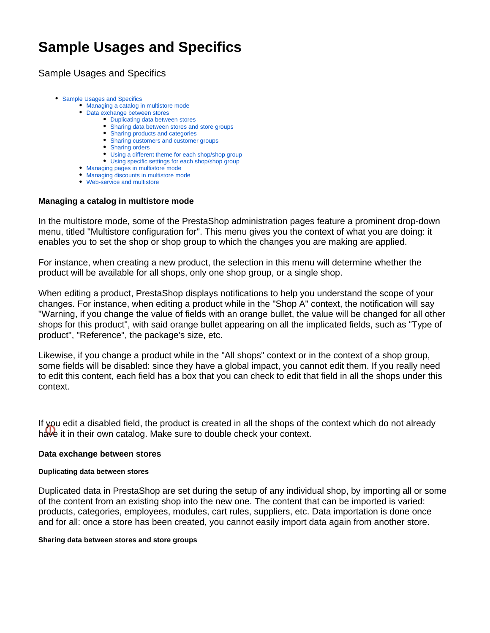# **Sample Usages and Specifics**

<span id="page-0-0"></span>Sample Usages and Specifics

- [Sample Usages and Specifics](#page-0-0)
	- [Managing a catalog in multistore mode](#page-0-1)
	- [Data exchange between stores](#page-0-2)
		- [Duplicating data between stores](#page-0-3)
		- [Sharing data between stores and store groups](#page-0-4)
		- [Sharing products and categories](#page-1-0)
		- [Sharing customers and customer groups](#page-1-1)
		- [Sharing orders](#page-1-2)
		- [Using a different theme for each shop/shop group](#page-2-0)
		- [Using specific settings for each shop/shop group](#page-2-1)
	- [Managing pages in multistore mode](#page-2-2)
	- [Managing discounts in multistore mode](#page-2-3)
	- [Web-service and multistore](#page-2-4)

# <span id="page-0-1"></span>**Managing a catalog in multistore mode**

In the multistore mode, some of the PrestaShop administration pages feature a prominent drop-down menu, titled "Multistore configuration for". This menu gives you the context of what you are doing: it enables you to set the shop or shop group to which the changes you are making are applied.

For instance, when creating a new product, the selection in this menu will determine whether the product will be available for all shops, only one shop group, or a single shop.

When editing a product, PrestaShop displays notifications to help you understand the scope of your changes. For instance, when editing a product while in the "Shop A" context, the notification will say "Warning, if you change the value of fields with an orange bullet, the value will be changed for all other shops for this product", with said orange bullet appearing on all the implicated fields, such as "Type of product", "Reference", the package's size, etc.

Likewise, if you change a product while in the "All shops" context or in the context of a shop group, some fields will be disabled: since they have a global impact, you cannot edit them. If you really need to edit this content, each field has a box that you can check to edit that field in all the shops under this context.

If you edit a disabled field, the product is created in all the shops of the context which do not already have it in their own catalog. Make sure to double check your context.

# <span id="page-0-2"></span>**Data exchange between stores**

#### <span id="page-0-3"></span>**Duplicating data between stores**

Duplicated data in PrestaShop are set during the setup of any individual shop, by importing all or some of the content from an existing shop into the new one. The content that can be imported is varied: products, categories, employees, modules, cart rules, suppliers, etc. Data importation is done once and for all: once a store has been created, you cannot easily import data again from another store.

#### <span id="page-0-4"></span>**Sharing data between stores and store groups**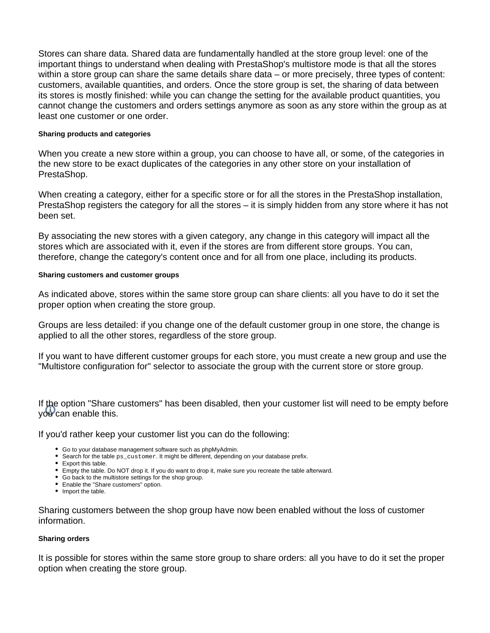Stores can share data. Shared data are fundamentally handled at the store group level: one of the important things to understand when dealing with PrestaShop's multistore mode is that all the stores within a store group can share the same details share data – or more precisely, three types of content: customers, available quantities, and orders. Once the store group is set, the sharing of data between its stores is mostly finished: while you can change the setting for the available product quantities, you cannot change the customers and orders settings anymore as soon as any store within the group as at least one customer or one order.

## <span id="page-1-0"></span>**Sharing products and categories**

When you create a new store within a group, you can choose to have all, or some, of the categories in the new store to be exact duplicates of the categories in any other store on your installation of PrestaShop.

When creating a category, either for a specific store or for all the stores in the PrestaShop installation, PrestaShop registers the category for all the stores – it is simply hidden from any store where it has not been set.

By associating the new stores with a given category, any change in this category will impact all the stores which are associated with it, even if the stores are from different store groups. You can, therefore, change the category's content once and for all from one place, including its products.

## <span id="page-1-1"></span>**Sharing customers and customer groups**

As indicated above, stores within the same store group can share clients: all you have to do it set the proper option when creating the store group.

Groups are less detailed: if you change one of the default customer group in one store, the change is applied to all the other stores, regardless of the store group.

If you want to have different customer groups for each store, you must create a new group and use the "Multistore configuration for" selector to associate the group with the current store or store group.

If the option "Share customers" has been disabled, then your customer list will need to be empty before  $\vee$ <sup>d</sup> can enable this.

If you'd rather keep your customer list you can do the following:

- Go to your database management software such as phpMyAdmin.
- **Search for the table ps\_customer. It might be different, depending on your database prefix.**
- Export this table.
- Empty the table. Do NOT drop it. If you do want to drop it, make sure you recreate the table afterward.
- Go back to the multistore settings for the shop group.
- Enable the "Share customers" option.
- Import the table.

Sharing customers between the shop group have now been enabled without the loss of customer information.

#### <span id="page-1-2"></span>**Sharing orders**

It is possible for stores within the same store group to share orders: all you have to do it set the proper option when creating the store group.